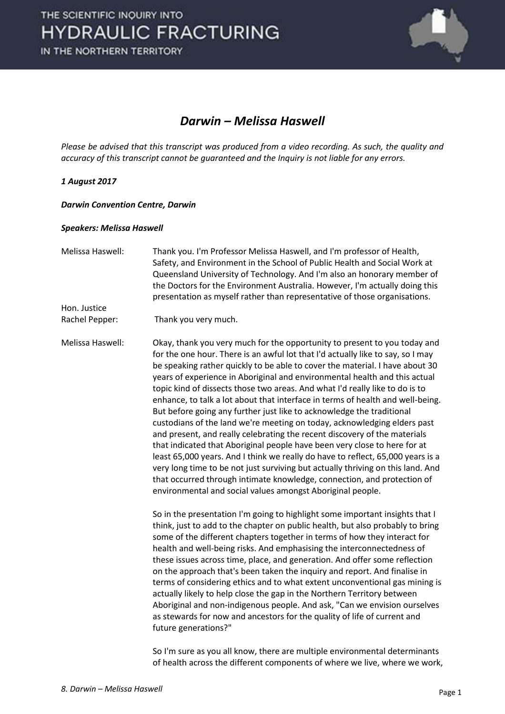

### *Darwin – Melissa Haswell*

*Please be advised that this transcript was produced from a video recording. As such, the quality and accuracy of this transcript cannot be guaranteed and the Inquiry is not liable for any errors.*

#### *1 August 2017*

#### *Darwin Convention Centre, Darwin*

#### *Speakers: Melissa Haswell*

Melissa Haswell: Thank you. I'm Professor Melissa Haswell, and I'm professor of Health, Safety, and Environment in the School of Public Health and Social Work at Queensland University of Technology. And I'm also an honorary member of the Doctors for the Environment Australia. However, I'm actually doing this presentation as myself rather than representative of those organisations. Hon. Justice

Rachel Pepper: Thank you very much.

Melissa Haswell: Okay, thank you very much for the opportunity to present to you today and for the one hour. There is an awful lot that I'd actually like to say, so I may be speaking rather quickly to be able to cover the material. I have about 30 years of experience in Aboriginal and environmental health and this actual topic kind of dissects those two areas. And what I'd really like to do is to enhance, to talk a lot about that interface in terms of health and well-being. But before going any further just like to acknowledge the traditional custodians of the land we're meeting on today, acknowledging elders past and present, and really celebrating the recent discovery of the materials that indicated that Aboriginal people have been very close to here for at least 65,000 years. And I think we really do have to reflect, 65,000 years is a very long time to be not just surviving but actually thriving on this land. And that occurred through intimate knowledge, connection, and protection of environmental and social values amongst Aboriginal people.

> So in the presentation I'm going to highlight some important insights that I think, just to add to the chapter on public health, but also probably to bring some of the different chapters together in terms of how they interact for health and well-being risks. And emphasising the interconnectedness of these issues across time, place, and generation. And offer some reflection on the approach that's been taken the inquiry and report. And finalise in terms of considering ethics and to what extent unconventional gas mining is actually likely to help close the gap in the Northern Territory between Aboriginal and non-indigenous people. And ask, "Can we envision ourselves as stewards for now and ancestors for the quality of life of current and future generations?"

> So I'm sure as you all know, there are multiple environmental determinants of health across the different components of where we live, where we work,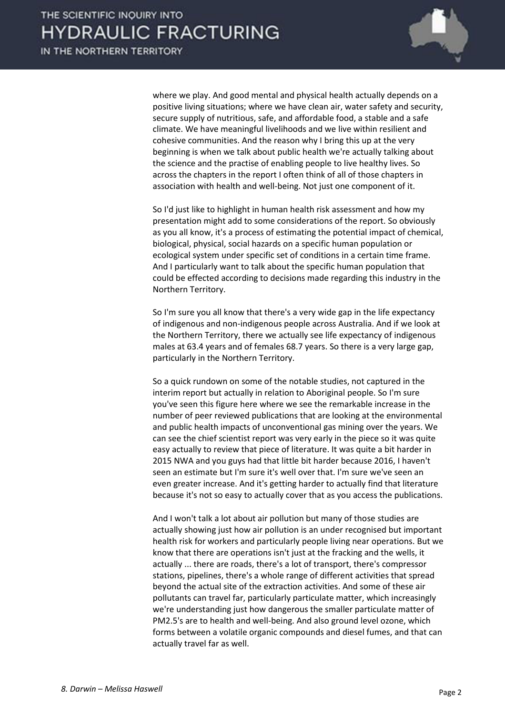

where we play. And good mental and physical health actually depends on a positive living situations; where we have clean air, water safety and security, secure supply of nutritious, safe, and affordable food, a stable and a safe climate. We have meaningful livelihoods and we live within resilient and cohesive communities. And the reason why I bring this up at the very beginning is when we talk about public health we're actually talking about the science and the practise of enabling people to live healthy lives. So across the chapters in the report I often think of all of those chapters in association with health and well-being. Not just one component of it.

 So I'd just like to highlight in human health risk assessment and how my presentation might add to some considerations of the report. So obviously as you all know, it's a process of estimating the potential impact of chemical, biological, physical, social hazards on a specific human population or ecological system under specific set of conditions in a certain time frame. And I particularly want to talk about the specific human population that could be effected according to decisions made regarding this industry in the Northern Territory.

 So I'm sure you all know that there's a very wide gap in the life expectancy of indigenous and non-indigenous people across Australia. And if we look at the Northern Territory, there we actually see life expectancy of indigenous males at 63.4 years and of females 68.7 years. So there is a very large gap, particularly in the Northern Territory.

 So a quick rundown on some of the notable studies, not captured in the interim report but actually in relation to Aboriginal people. So I'm sure you've seen this figure here where we see the remarkable increase in the number of peer reviewed publications that are looking at the environmental and public health impacts of unconventional gas mining over the years. We can see the chief scientist report was very early in the piece so it was quite easy actually to review that piece of literature. It was quite a bit harder in 2015 NWA and you guys had that little bit harder because 2016, I haven't seen an estimate but I'm sure it's well over that. I'm sure we've seen an even greater increase. And it's getting harder to actually find that literature because it's not so easy to actually cover that as you access the publications.

 And I won't talk a lot about air pollution but many of those studies are actually showing just how air pollution is an under recognised but important health risk for workers and particularly people living near operations. But we know that there are operations isn't just at the fracking and the wells, it actually ... there are roads, there's a lot of transport, there's compressor stations, pipelines, there's a whole range of different activities that spread beyond the actual site of the extraction activities. And some of these air pollutants can travel far, particularly particulate matter, which increasingly we're understanding just how dangerous the smaller particulate matter of PM2.5's are to health and well-being. And also ground level ozone, which forms between a volatile organic compounds and diesel fumes, and that can actually travel far as well.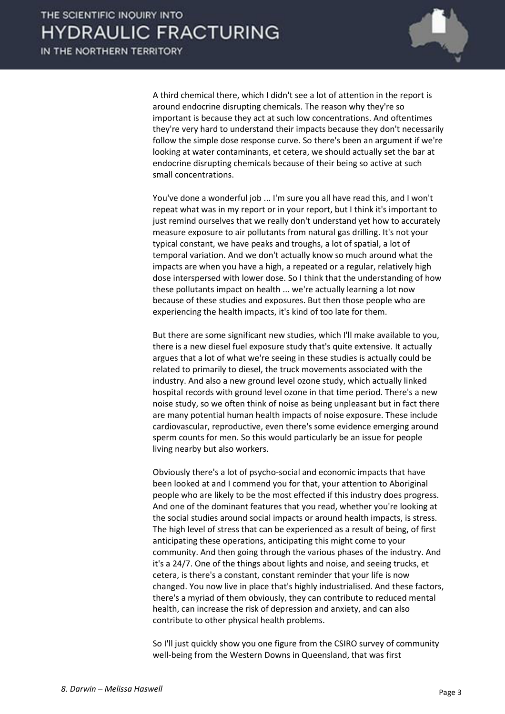

 A third chemical there, which I didn't see a lot of attention in the report is around endocrine disrupting chemicals. The reason why they're so important is because they act at such low concentrations. And oftentimes they're very hard to understand their impacts because they don't necessarily follow the simple dose response curve. So there's been an argument if we're looking at water contaminants, et cetera, we should actually set the bar at endocrine disrupting chemicals because of their being so active at such small concentrations.

 You've done a wonderful job ... I'm sure you all have read this, and I won't repeat what was in my report or in your report, but I think it's important to just remind ourselves that we really don't understand yet how to accurately measure exposure to air pollutants from natural gas drilling. It's not your typical constant, we have peaks and troughs, a lot of spatial, a lot of temporal variation. And we don't actually know so much around what the impacts are when you have a high, a repeated or a regular, relatively high dose interspersed with lower dose. So I think that the understanding of how these pollutants impact on health ... we're actually learning a lot now because of these studies and exposures. But then those people who are experiencing the health impacts, it's kind of too late for them.

 But there are some significant new studies, which I'll make available to you, there is a new diesel fuel exposure study that's quite extensive. It actually argues that a lot of what we're seeing in these studies is actually could be related to primarily to diesel, the truck movements associated with the industry. And also a new ground level ozone study, which actually linked hospital records with ground level ozone in that time period. There's a new noise study, so we often think of noise as being unpleasant but in fact there are many potential human health impacts of noise exposure. These include cardiovascular, reproductive, even there's some evidence emerging around sperm counts for men. So this would particularly be an issue for people living nearby but also workers.

 Obviously there's a lot of psycho-social and economic impacts that have been looked at and I commend you for that, your attention to Aboriginal people who are likely to be the most effected if this industry does progress. And one of the dominant features that you read, whether you're looking at the social studies around social impacts or around health impacts, is stress. The high level of stress that can be experienced as a result of being, of first anticipating these operations, anticipating this might come to your community. And then going through the various phases of the industry. And it's a 24/7. One of the things about lights and noise, and seeing trucks, et cetera, is there's a constant, constant reminder that your life is now changed. You now live in place that's highly industrialised. And these factors, there's a myriad of them obviously, they can contribute to reduced mental health, can increase the risk of depression and anxiety, and can also contribute to other physical health problems.

 So I'll just quickly show you one figure from the CSIRO survey of community well-being from the Western Downs in Queensland, that was first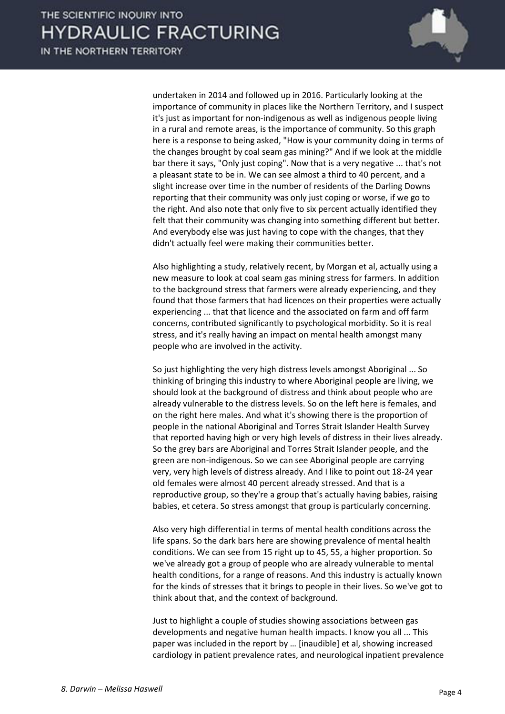

undertaken in 2014 and followed up in 2016. Particularly looking at the importance of community in places like the Northern Territory, and I suspect it's just as important for non-indigenous as well as indigenous people living in a rural and remote areas, is the importance of community. So this graph here is a response to being asked, "How is your community doing in terms of the changes brought by coal seam gas mining?" And if we look at the middle bar there it says, "Only just coping". Now that is a very negative ... that's not a pleasant state to be in. We can see almost a third to 40 percent, and a slight increase over time in the number of residents of the Darling Downs reporting that their community was only just coping or worse, if we go to the right. And also note that only five to six percent actually identified they felt that their community was changing into something different but better. And everybody else was just having to cope with the changes, that they didn't actually feel were making their communities better.

 Also highlighting a study, relatively recent, by Morgan et al, actually using a new measure to look at coal seam gas mining stress for farmers. In addition to the background stress that farmers were already experiencing, and they found that those farmers that had licences on their properties were actually experiencing ... that that licence and the associated on farm and off farm concerns, contributed significantly to psychological morbidity. So it is real stress, and it's really having an impact on mental health amongst many people who are involved in the activity.

 So just highlighting the very high distress levels amongst Aboriginal ... So thinking of bringing this industry to where Aboriginal people are living, we should look at the background of distress and think about people who are already vulnerable to the distress levels. So on the left here is females, and on the right here males. And what it's showing there is the proportion of people in the national Aboriginal and Torres Strait Islander Health Survey that reported having high or very high levels of distress in their lives already. So the grey bars are Aboriginal and Torres Strait Islander people, and the green are non-indigenous. So we can see Aboriginal people are carrying very, very high levels of distress already. And I like to point out 18-24 year old females were almost 40 percent already stressed. And that is a reproductive group, so they're a group that's actually having babies, raising babies, et cetera. So stress amongst that group is particularly concerning.

 Also very high differential in terms of mental health conditions across the life spans. So the dark bars here are showing prevalence of mental health conditions. We can see from 15 right up to 45, 55, a higher proportion. So we've already got a group of people who are already vulnerable to mental health conditions, for a range of reasons. And this industry is actually known for the kinds of stresses that it brings to people in their lives. So we've got to think about that, and the context of background.

 Just to highlight a couple of studies showing associations between gas developments and negative human health impacts. I know you all ... This paper was included in the report by ... [inaudible] et al, showing increased cardiology in patient prevalence rates, and neurological inpatient prevalence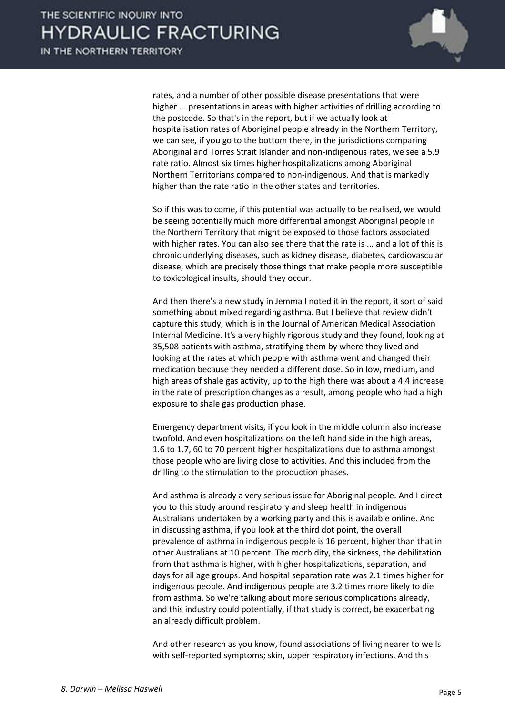rates, and a number of other possible disease presentations that were higher ... presentations in areas with higher activities of drilling according to the postcode. So that's in the report, but if we actually look at hospitalisation rates of Aboriginal people already in the Northern Territory, we can see, if you go to the bottom there, in the jurisdictions comparing Aboriginal and Torres Strait Islander and non-indigenous rates, we see a 5.9 rate ratio. Almost six times higher hospitalizations among Aboriginal Northern Territorians compared to non-indigenous. And that is markedly higher than the rate ratio in the other states and territories.

 So if this was to come, if this potential was actually to be realised, we would be seeing potentially much more differential amongst Aboriginal people in the Northern Territory that might be exposed to those factors associated with higher rates. You can also see there that the rate is ... and a lot of this is chronic underlying diseases, such as kidney disease, diabetes, cardiovascular disease, which are precisely those things that make people more susceptible to toxicological insults, should they occur.

 And then there's a new study in Jemma I noted it in the report, it sort of said something about mixed regarding asthma. But I believe that review didn't capture this study, which is in the Journal of American Medical Association Internal Medicine. It's a very highly rigorous study and they found, looking at 35,508 patients with asthma, stratifying them by where they lived and looking at the rates at which people with asthma went and changed their medication because they needed a different dose. So in low, medium, and high areas of shale gas activity, up to the high there was about a 4.4 increase in the rate of prescription changes as a result, among people who had a high exposure to shale gas production phase.

 Emergency department visits, if you look in the middle column also increase twofold. And even hospitalizations on the left hand side in the high areas, 1.6 to 1.7, 60 to 70 percent higher hospitalizations due to asthma amongst those people who are living close to activities. And this included from the drilling to the stimulation to the production phases.

 And asthma is already a very serious issue for Aboriginal people. And I direct you to this study around respiratory and sleep health in indigenous Australians undertaken by a working party and this is available online. And in discussing asthma, if you look at the third dot point, the overall prevalence of asthma in indigenous people is 16 percent, higher than that in other Australians at 10 percent. The morbidity, the sickness, the debilitation from that asthma is higher, with higher hospitalizations, separation, and days for all age groups. And hospital separation rate was 2.1 times higher for indigenous people. And indigenous people are 3.2 times more likely to die from asthma. So we're talking about more serious complications already, and this industry could potentially, if that study is correct, be exacerbating an already difficult problem.

 And other research as you know, found associations of living nearer to wells with self-reported symptoms; skin, upper respiratory infections. And this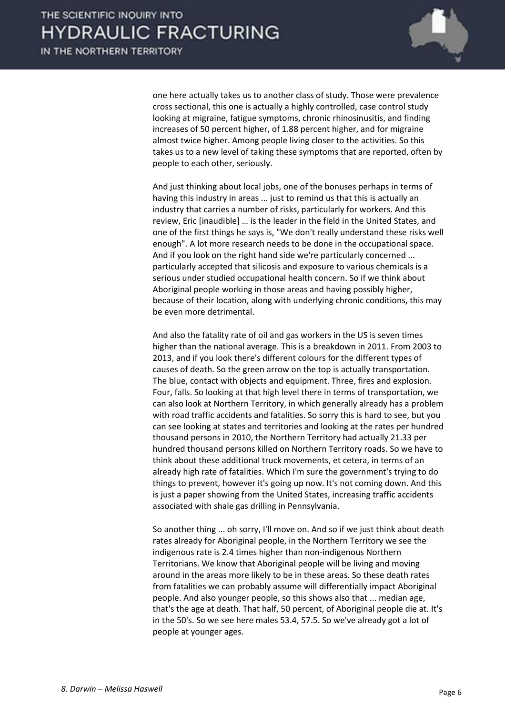

one here actually takes us to another class of study. Those were prevalence cross sectional, this one is actually a highly controlled, case control study looking at migraine, fatigue symptoms, chronic rhinosinusitis, and finding increases of 50 percent higher, of 1.88 percent higher, and for migraine almost twice higher. Among people living closer to the activities. So this takes us to a new level of taking these symptoms that are reported, often by people to each other, seriously.

 And just thinking about local jobs, one of the bonuses perhaps in terms of having this industry in areas ... just to remind us that this is actually an industry that carries a number of risks, particularly for workers. And this review, Eric [inaudible] ... is the leader in the field in the United States, and one of the first things he says is, "We don't really understand these risks well enough". A lot more research needs to be done in the occupational space. And if you look on the right hand side we're particularly concerned ... particularly accepted that silicosis and exposure to various chemicals is a serious under studied occupational health concern. So if we think about Aboriginal people working in those areas and having possibly higher, because of their location, along with underlying chronic conditions, this may be even more detrimental.

 And also the fatality rate of oil and gas workers in the US is seven times higher than the national average. This is a breakdown in 2011. From 2003 to 2013, and if you look there's different colours for the different types of causes of death. So the green arrow on the top is actually transportation. The blue, contact with objects and equipment. Three, fires and explosion. Four, falls. So looking at that high level there in terms of transportation, we can also look at Northern Territory, in which generally already has a problem with road traffic accidents and fatalities. So sorry this is hard to see, but you can see looking at states and territories and looking at the rates per hundred thousand persons in 2010, the Northern Territory had actually 21.33 per hundred thousand persons killed on Northern Territory roads. So we have to think about these additional truck movements, et cetera, in terms of an already high rate of fatalities. Which I'm sure the government's trying to do things to prevent, however it's going up now. It's not coming down. And this is just a paper showing from the United States, increasing traffic accidents associated with shale gas drilling in Pennsylvania.

 So another thing ... oh sorry, I'll move on. And so if we just think about death rates already for Aboriginal people, in the Northern Territory we see the indigenous rate is 2.4 times higher than non-indigenous Northern Territorians. We know that Aboriginal people will be living and moving around in the areas more likely to be in these areas. So these death rates from fatalities we can probably assume will differentially impact Aboriginal people. And also younger people, so this shows also that ... median age, that's the age at death. That half, 50 percent, of Aboriginal people die at. It's in the 50's. So we see here males 53.4, 57.5. So we've already got a lot of people at younger ages.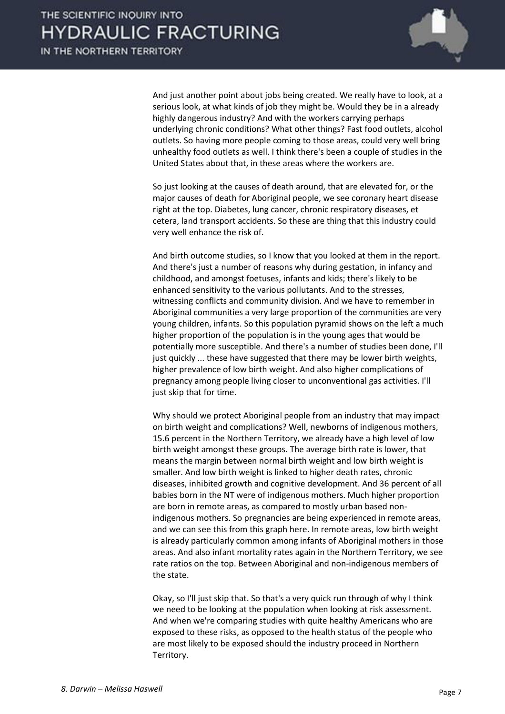

 And just another point about jobs being created. We really have to look, at a serious look, at what kinds of job they might be. Would they be in a already highly dangerous industry? And with the workers carrying perhaps underlying chronic conditions? What other things? Fast food outlets, alcohol outlets. So having more people coming to those areas, could very well bring unhealthy food outlets as well. I think there's been a couple of studies in the United States about that, in these areas where the workers are.

 So just looking at the causes of death around, that are elevated for, or the major causes of death for Aboriginal people, we see coronary heart disease right at the top. Diabetes, lung cancer, chronic respiratory diseases, et cetera, land transport accidents. So these are thing that this industry could very well enhance the risk of.

 And birth outcome studies, so I know that you looked at them in the report. And there's just a number of reasons why during gestation, in infancy and childhood, and amongst foetuses, infants and kids; there's likely to be enhanced sensitivity to the various pollutants. And to the stresses, witnessing conflicts and community division. And we have to remember in Aboriginal communities a very large proportion of the communities are very young children, infants. So this population pyramid shows on the left a much higher proportion of the population is in the young ages that would be potentially more susceptible. And there's a number of studies been done, I'll just quickly ... these have suggested that there may be lower birth weights, higher prevalence of low birth weight. And also higher complications of pregnancy among people living closer to unconventional gas activities. I'll just skip that for time.

 Why should we protect Aboriginal people from an industry that may impact on birth weight and complications? Well, newborns of indigenous mothers, 15.6 percent in the Northern Territory, we already have a high level of low birth weight amongst these groups. The average birth rate is lower, that means the margin between normal birth weight and low birth weight is smaller. And low birth weight is linked to higher death rates, chronic diseases, inhibited growth and cognitive development. And 36 percent of all babies born in the NT were of indigenous mothers. Much higher proportion are born in remote areas, as compared to mostly urban based nonindigenous mothers. So pregnancies are being experienced in remote areas, and we can see this from this graph here. In remote areas, low birth weight is already particularly common among infants of Aboriginal mothers in those areas. And also infant mortality rates again in the Northern Territory, we see rate ratios on the top. Between Aboriginal and non-indigenous members of the state.

 Okay, so I'll just skip that. So that's a very quick run through of why I think we need to be looking at the population when looking at risk assessment. And when we're comparing studies with quite healthy Americans who are exposed to these risks, as opposed to the health status of the people who are most likely to be exposed should the industry proceed in Northern Territory.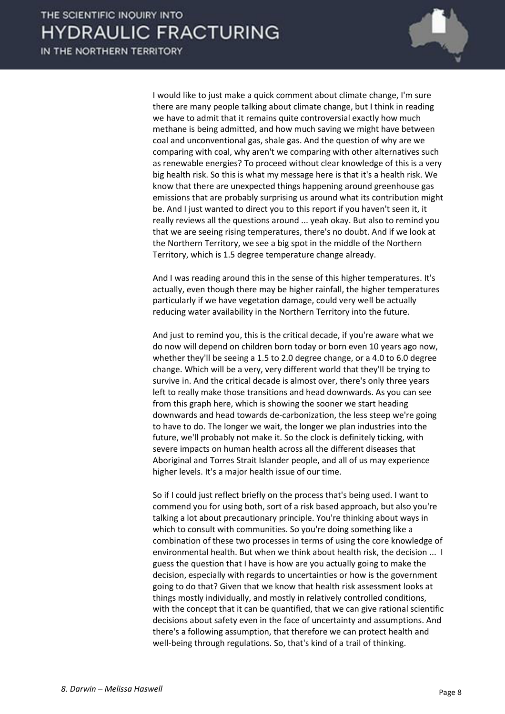

 I would like to just make a quick comment about climate change, I'm sure there are many people talking about climate change, but I think in reading we have to admit that it remains quite controversial exactly how much methane is being admitted, and how much saving we might have between coal and unconventional gas, shale gas. And the question of why are we comparing with coal, why aren't we comparing with other alternatives such as renewable energies? To proceed without clear knowledge of this is a very big health risk. So this is what my message here is that it's a health risk. We know that there are unexpected things happening around greenhouse gas emissions that are probably surprising us around what its contribution might be. And I just wanted to direct you to this report if you haven't seen it, it really reviews all the questions around ... yeah okay. But also to remind you that we are seeing rising temperatures, there's no doubt. And if we look at the Northern Territory, we see a big spot in the middle of the Northern Territory, which is 1.5 degree temperature change already.

 And I was reading around this in the sense of this higher temperatures. It's actually, even though there may be higher rainfall, the higher temperatures particularly if we have vegetation damage, could very well be actually reducing water availability in the Northern Territory into the future.

 And just to remind you, this is the critical decade, if you're aware what we do now will depend on children born today or born even 10 years ago now, whether they'll be seeing a 1.5 to 2.0 degree change, or a 4.0 to 6.0 degree change. Which will be a very, very different world that they'll be trying to survive in. And the critical decade is almost over, there's only three years left to really make those transitions and head downwards. As you can see from this graph here, which is showing the sooner we start heading downwards and head towards de-carbonization, the less steep we're going to have to do. The longer we wait, the longer we plan industries into the future, we'll probably not make it. So the clock is definitely ticking, with severe impacts on human health across all the different diseases that Aboriginal and Torres Strait Islander people, and all of us may experience higher levels. It's a major health issue of our time.

 So if I could just reflect briefly on the process that's being used. I want to commend you for using both, sort of a risk based approach, but also you're talking a lot about precautionary principle. You're thinking about ways in which to consult with communities. So you're doing something like a combination of these two processes in terms of using the core knowledge of environmental health. But when we think about health risk, the decision ... I guess the question that I have is how are you actually going to make the decision, especially with regards to uncertainties or how is the government going to do that? Given that we know that health risk assessment looks at things mostly individually, and mostly in relatively controlled conditions, with the concept that it can be quantified, that we can give rational scientific decisions about safety even in the face of uncertainty and assumptions. And there's a following assumption, that therefore we can protect health and well-being through regulations. So, that's kind of a trail of thinking.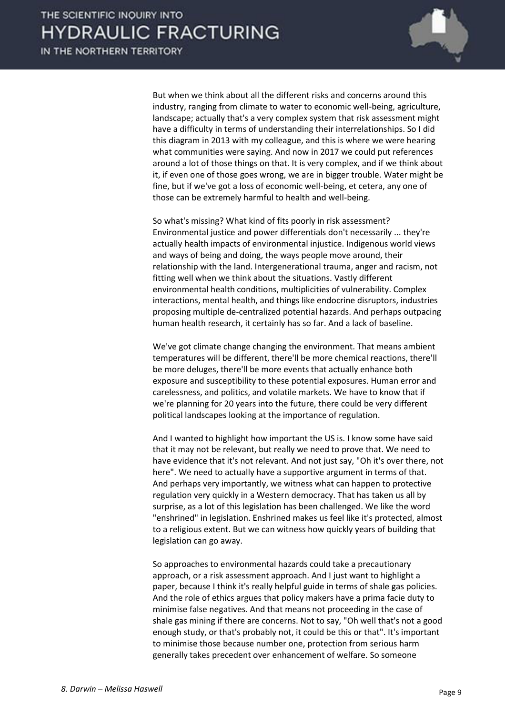

 But when we think about all the different risks and concerns around this industry, ranging from climate to water to economic well-being, agriculture, landscape; actually that's a very complex system that risk assessment might have a difficulty in terms of understanding their interrelationships. So I did this diagram in 2013 with my colleague, and this is where we were hearing what communities were saying. And now in 2017 we could put references around a lot of those things on that. It is very complex, and if we think about it, if even one of those goes wrong, we are in bigger trouble. Water might be fine, but if we've got a loss of economic well-being, et cetera, any one of those can be extremely harmful to health and well-being.

 So what's missing? What kind of fits poorly in risk assessment? Environmental justice and power differentials don't necessarily ... they're actually health impacts of environmental injustice. Indigenous world views and ways of being and doing, the ways people move around, their relationship with the land. Intergenerational trauma, anger and racism, not fitting well when we think about the situations. Vastly different environmental health conditions, multiplicities of vulnerability. Complex interactions, mental health, and things like endocrine disruptors, industries proposing multiple de-centralized potential hazards. And perhaps outpacing human health research, it certainly has so far. And a lack of baseline.

 We've got climate change changing the environment. That means ambient temperatures will be different, there'll be more chemical reactions, there'll be more deluges, there'll be more events that actually enhance both exposure and susceptibility to these potential exposures. Human error and carelessness, and politics, and volatile markets. We have to know that if we're planning for 20 years into the future, there could be very different political landscapes looking at the importance of regulation.

 And I wanted to highlight how important the US is. I know some have said that it may not be relevant, but really we need to prove that. We need to have evidence that it's not relevant. And not just say, "Oh it's over there, not here". We need to actually have a supportive argument in terms of that. And perhaps very importantly, we witness what can happen to protective regulation very quickly in a Western democracy. That has taken us all by surprise, as a lot of this legislation has been challenged. We like the word "enshrined" in legislation. Enshrined makes us feel like it's protected, almost to a religious extent. But we can witness how quickly years of building that legislation can go away.

 So approaches to environmental hazards could take a precautionary approach, or a risk assessment approach. And I just want to highlight a paper, because I think it's really helpful guide in terms of shale gas policies. And the role of ethics argues that policy makers have a prima facie duty to minimise false negatives. And that means not proceeding in the case of shale gas mining if there are concerns. Not to say, "Oh well that's not a good enough study, or that's probably not, it could be this or that". It's important to minimise those because number one, protection from serious harm generally takes precedent over enhancement of welfare. So someone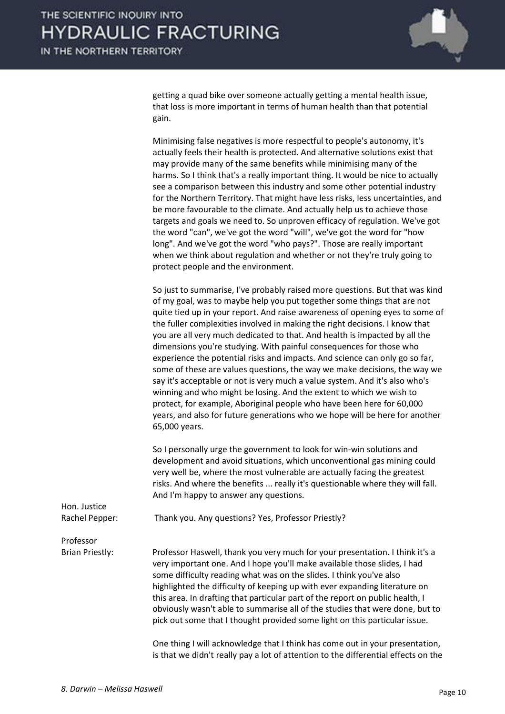getting a quad bike over someone actually getting a mental health issue, that loss is more important in terms of human health than that potential gain.

 Minimising false negatives is more respectful to people's autonomy, it's actually feels their health is protected. And alternative solutions exist that may provide many of the same benefits while minimising many of the harms. So I think that's a really important thing. It would be nice to actually see a comparison between this industry and some other potential industry for the Northern Territory. That might have less risks, less uncertainties, and be more favourable to the climate. And actually help us to achieve those targets and goals we need to. So unproven efficacy of regulation. We've got the word "can", we've got the word "will", we've got the word for "how long". And we've got the word "who pays?". Those are really important when we think about regulation and whether or not they're truly going to protect people and the environment.

 So just to summarise, I've probably raised more questions. But that was kind of my goal, was to maybe help you put together some things that are not quite tied up in your report. And raise awareness of opening eyes to some of the fuller complexities involved in making the right decisions. I know that you are all very much dedicated to that. And health is impacted by all the dimensions you're studying. With painful consequences for those who experience the potential risks and impacts. And science can only go so far, some of these are values questions, the way we make decisions, the way we say it's acceptable or not is very much a value system. And it's also who's winning and who might be losing. And the extent to which we wish to protect, for example, Aboriginal people who have been here for 60,000 years, and also for future generations who we hope will be here for another 65,000 years.

 So I personally urge the government to look for win-win solutions and development and avoid situations, which unconventional gas mining could very well be, where the most vulnerable are actually facing the greatest risks. And where the benefits ... really it's questionable where they will fall. And I'm happy to answer any questions.

is that we didn't really pay a lot of attention to the differential effects on the

| Hon. Justice<br>Rachel Pepper: | Thank you. Any questions? Yes, Professor Priestly?                                                                                                                                                                                                                                                                                                                                                                                                                                                                                                           |
|--------------------------------|--------------------------------------------------------------------------------------------------------------------------------------------------------------------------------------------------------------------------------------------------------------------------------------------------------------------------------------------------------------------------------------------------------------------------------------------------------------------------------------------------------------------------------------------------------------|
| Professor                      |                                                                                                                                                                                                                                                                                                                                                                                                                                                                                                                                                              |
| Brian Priestly:                | Professor Haswell, thank you very much for your presentation. I think it's a<br>very important one. And I hope you'll make available those slides, I had<br>some difficulty reading what was on the slides. I think you've also<br>highlighted the difficulty of keeping up with ever expanding literature on<br>this area. In drafting that particular part of the report on public health, I<br>obviously wasn't able to summarise all of the studies that were done, but to<br>pick out some that I thought provided some light on this particular issue. |
|                                | One thing I will acknowledge that I think has come out in your presentation,                                                                                                                                                                                                                                                                                                                                                                                                                                                                                 |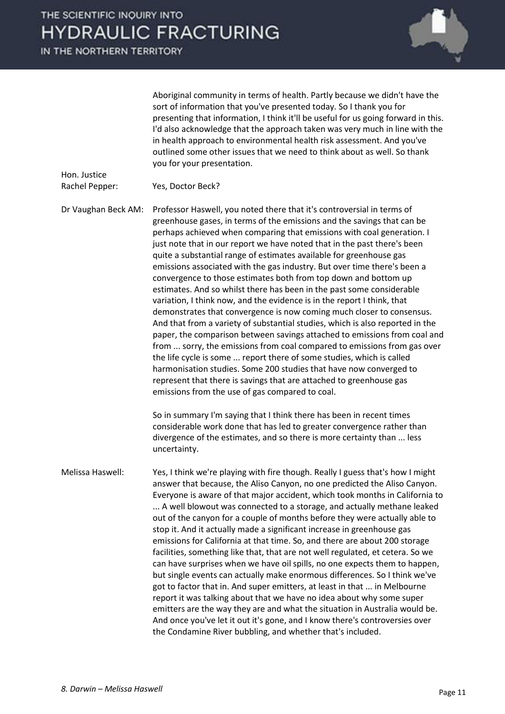Hon. Justice



Aboriginal community in terms of health. Partly because we didn't have the sort of information that you've presented today. So I thank you for presenting that information, I think it'll be useful for us going forward in this. I'd also acknowledge that the approach taken was very much in line with the in health approach to environmental health risk assessment. And you've outlined some other issues that we need to think about as well. So thank you for your presentation.

Rachel Pepper: Yes, Doctor Beck?

Dr Vaughan Beck AM: Professor Haswell, you noted there that it's controversial in terms of greenhouse gases, in terms of the emissions and the savings that can be perhaps achieved when comparing that emissions with coal generation. I just note that in our report we have noted that in the past there's been quite a substantial range of estimates available for greenhouse gas emissions associated with the gas industry. But over time there's been a convergence to those estimates both from top down and bottom up estimates. And so whilst there has been in the past some considerable variation, I think now, and the evidence is in the report I think, that demonstrates that convergence is now coming much closer to consensus. And that from a variety of substantial studies, which is also reported in the paper, the comparison between savings attached to emissions from coal and from ... sorry, the emissions from coal compared to emissions from gas over the life cycle is some ... report there of some studies, which is called harmonisation studies. Some 200 studies that have now converged to represent that there is savings that are attached to greenhouse gas emissions from the use of gas compared to coal.

> So in summary I'm saying that I think there has been in recent times considerable work done that has led to greater convergence rather than divergence of the estimates, and so there is more certainty than ... less uncertainty.

Melissa Haswell: Yes, I think we're playing with fire though. Really I guess that's how I might answer that because, the Aliso Canyon, no one predicted the Aliso Canyon. Everyone is aware of that major accident, which took months in California to ... A well blowout was connected to a storage, and actually methane leaked out of the canyon for a couple of months before they were actually able to stop it. And it actually made a significant increase in greenhouse gas emissions for California at that time. So, and there are about 200 storage facilities, something like that, that are not well regulated, et cetera. So we can have surprises when we have oil spills, no one expects them to happen, but single events can actually make enormous differences. So I think we've got to factor that in. And super emitters, at least in that ... in Melbourne report it was talking about that we have no idea about why some super emitters are the way they are and what the situation in Australia would be. And once you've let it out it's gone, and I know there's controversies over the Condamine River bubbling, and whether that's included.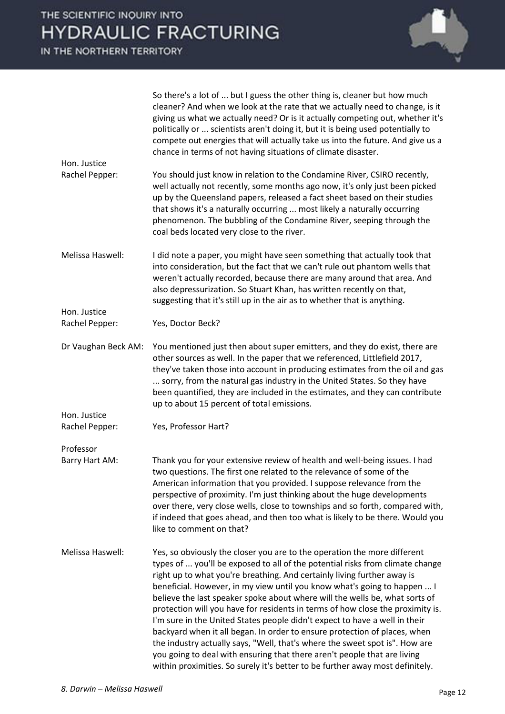Hon. Justice

Hon. Justice



 So there's a lot of ... but I guess the other thing is, cleaner but how much cleaner? And when we look at the rate that we actually need to change, is it giving us what we actually need? Or is it actually competing out, whether it's politically or ... scientists aren't doing it, but it is being used potentially to compete out energies that will actually take us into the future. And give us a chance in terms of not having situations of climate disaster.

Rachel Pepper: You should just know in relation to the Condamine River, CSIRO recently, well actually not recently, some months ago now, it's only just been picked up by the Queensland papers, released a fact sheet based on their studies that shows it's a naturally occurring ... most likely a naturally occurring phenomenon. The bubbling of the Condamine River, seeping through the coal beds located very close to the river.

Melissa Haswell: I did note a paper, you might have seen something that actually took that into consideration, but the fact that we can't rule out phantom wells that weren't actually recorded, because there are many around that area. And also depressurization. So Stuart Khan, has written recently on that, suggesting that it's still up in the air as to whether that is anything.

Rachel Pepper: Yes, Doctor Beck?

Dr Vaughan Beck AM: You mentioned just then about super emitters, and they do exist, there are other sources as well. In the paper that we referenced, Littlefield 2017, they've taken those into account in producing estimates from the oil and gas ... sorry, from the natural gas industry in the United States. So they have been quantified, they are included in the estimates, and they can contribute up to about 15 percent of total emissions.

Rachel Pepper: Yes, Professor Hart?

Professor

Hon. Justice

Barry Hart AM: Thank you for your extensive review of health and well-being issues. I had two questions. The first one related to the relevance of some of the American information that you provided. I suppose relevance from the perspective of proximity. I'm just thinking about the huge developments over there, very close wells, close to townships and so forth, compared with, if indeed that goes ahead, and then too what is likely to be there. Would you like to comment on that?

Melissa Haswell: Yes, so obviously the closer you are to the operation the more different types of ... you'll be exposed to all of the potential risks from climate change right up to what you're breathing. And certainly living further away is beneficial. However, in my view until you know what's going to happen ... I believe the last speaker spoke about where will the wells be, what sorts of protection will you have for residents in terms of how close the proximity is. I'm sure in the United States people didn't expect to have a well in their backyard when it all began. In order to ensure protection of places, when the industry actually says, "Well, that's where the sweet spot is". How are you going to deal with ensuring that there aren't people that are living within proximities. So surely it's better to be further away most definitely.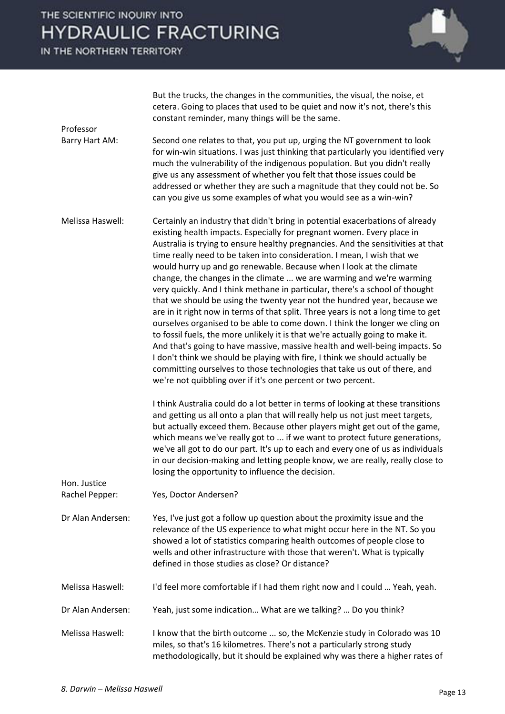IN THE NORTHERN TERRITORY



|                                | But the trucks, the changes in the communities, the visual, the noise, et<br>cetera. Going to places that used to be quiet and now it's not, there's this<br>constant reminder, many things will be the same.                                                                                                                                                                                                                                                                                                                                                                                                                                                                                                                                                                                                                                                                                                                                                                                                                                                                                                                                                                                      |
|--------------------------------|----------------------------------------------------------------------------------------------------------------------------------------------------------------------------------------------------------------------------------------------------------------------------------------------------------------------------------------------------------------------------------------------------------------------------------------------------------------------------------------------------------------------------------------------------------------------------------------------------------------------------------------------------------------------------------------------------------------------------------------------------------------------------------------------------------------------------------------------------------------------------------------------------------------------------------------------------------------------------------------------------------------------------------------------------------------------------------------------------------------------------------------------------------------------------------------------------|
| Professor                      |                                                                                                                                                                                                                                                                                                                                                                                                                                                                                                                                                                                                                                                                                                                                                                                                                                                                                                                                                                                                                                                                                                                                                                                                    |
| Barry Hart AM:                 | Second one relates to that, you put up, urging the NT government to look<br>for win-win situations. I was just thinking that particularly you identified very<br>much the vulnerability of the indigenous population. But you didn't really<br>give us any assessment of whether you felt that those issues could be<br>addressed or whether they are such a magnitude that they could not be. So<br>can you give us some examples of what you would see as a win-win?                                                                                                                                                                                                                                                                                                                                                                                                                                                                                                                                                                                                                                                                                                                             |
| Melissa Haswell:               | Certainly an industry that didn't bring in potential exacerbations of already<br>existing health impacts. Especially for pregnant women. Every place in<br>Australia is trying to ensure healthy pregnancies. And the sensitivities at that<br>time really need to be taken into consideration. I mean, I wish that we<br>would hurry up and go renewable. Because when I look at the climate<br>change, the changes in the climate  we are warming and we're warming<br>very quickly. And I think methane in particular, there's a school of thought<br>that we should be using the twenty year not the hundred year, because we<br>are in it right now in terms of that split. Three years is not a long time to get<br>ourselves organised to be able to come down. I think the longer we cling on<br>to fossil fuels, the more unlikely it is that we're actually going to make it.<br>And that's going to have massive, massive health and well-being impacts. So<br>I don't think we should be playing with fire, I think we should actually be<br>committing ourselves to those technologies that take us out of there, and<br>we're not quibbling over if it's one percent or two percent. |
|                                | I think Australia could do a lot better in terms of looking at these transitions<br>and getting us all onto a plan that will really help us not just meet targets,<br>but actually exceed them. Because other players might get out of the game,<br>which means we've really got to  if we want to protect future generations,<br>we've all got to do our part. It's up to each and every one of us as individuals<br>in our decision-making and letting people know, we are really, really close to<br>losing the opportunity to influence the decision.                                                                                                                                                                                                                                                                                                                                                                                                                                                                                                                                                                                                                                          |
| Hon. Justice<br>Rachel Pepper: | Yes, Doctor Andersen?                                                                                                                                                                                                                                                                                                                                                                                                                                                                                                                                                                                                                                                                                                                                                                                                                                                                                                                                                                                                                                                                                                                                                                              |
|                                |                                                                                                                                                                                                                                                                                                                                                                                                                                                                                                                                                                                                                                                                                                                                                                                                                                                                                                                                                                                                                                                                                                                                                                                                    |
| Dr Alan Andersen:              | Yes, I've just got a follow up question about the proximity issue and the<br>relevance of the US experience to what might occur here in the NT. So you<br>showed a lot of statistics comparing health outcomes of people close to<br>wells and other infrastructure with those that weren't. What is typically<br>defined in those studies as close? Or distance?                                                                                                                                                                                                                                                                                                                                                                                                                                                                                                                                                                                                                                                                                                                                                                                                                                  |
| Melissa Haswell:               | I'd feel more comfortable if I had them right now and I could  Yeah, yeah.                                                                                                                                                                                                                                                                                                                                                                                                                                                                                                                                                                                                                                                                                                                                                                                                                                                                                                                                                                                                                                                                                                                         |
| Dr Alan Andersen:              | Yeah, just some indication What are we talking?  Do you think?                                                                                                                                                                                                                                                                                                                                                                                                                                                                                                                                                                                                                                                                                                                                                                                                                                                                                                                                                                                                                                                                                                                                     |
| Melissa Haswell:               | I know that the birth outcome  so, the McKenzie study in Colorado was 10<br>miles, so that's 16 kilometres. There's not a particularly strong study<br>methodologically, but it should be explained why was there a higher rates of                                                                                                                                                                                                                                                                                                                                                                                                                                                                                                                                                                                                                                                                                                                                                                                                                                                                                                                                                                |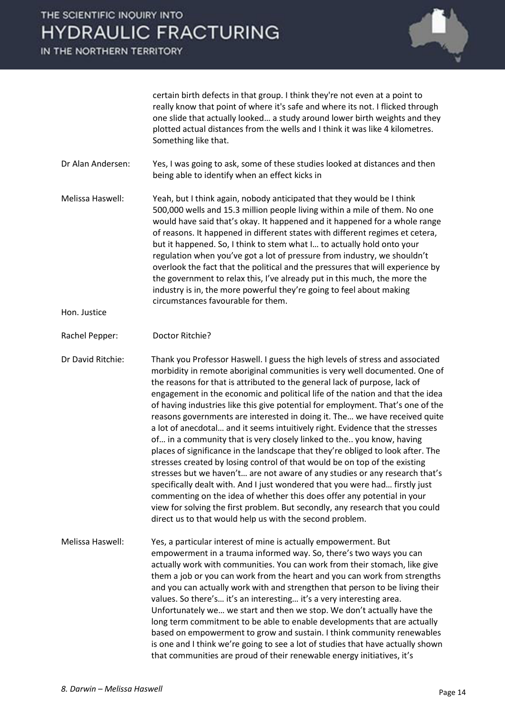IN THE NORTHERN TERRITORY



certain birth defects in that group. I think they're not even at a point to really know that point of where it's safe and where its not. I flicked through one slide that actually looked... a study around lower birth weights and they plotted actual distances from the wells and I think it was like 4 kilometres. Something like that.

- Dr Alan Andersen: Yes, I was going to ask, some of these studies looked at distances and then being able to identify when an effect kicks in
- Melissa Haswell: Yeah, but I think again, nobody anticipated that they would be I think 500,000 wells and 15.3 million people living within a mile of them. No one would have said that's okay. It happened and it happened for a whole range of reasons. It happened in different states with different regimes et cetera, but it happened. So, I think to stem what I... to actually hold onto your regulation when you've got a lot of pressure from industry, we shouldn't overlook the fact that the political and the pressures that will experience by the government to relax this, I've already put in this much, the more the industry is in, the more powerful they're going to feel about making circumstances favourable for them.

Hon. Justice

Doctor Ritchie? Rachel Pepper:

Dr David Ritchie: Thank you Professor Haswell. I guess the high levels of stress and associated morbidity in remote aboriginal communities is very well documented. One of the reasons for that is attributed to the general lack of purpose, lack of engagement in the economic and political life of the nation and that the idea of having industries like this give potential for employment. That's one of the reasons governments are interested in doing it. The... we have received quite a lot of anecdotal... and it seems intuitively right. Evidence that the stresses of... in a community that is very closely linked to the.. you know, having places of significance in the landscape that they're obliged to look after. The stresses created by losing control of that would be on top of the existing stresses but we haven't... are not aware of any studies or any research that's specifically dealt with. And I just wondered that you were had... firstly just commenting on the idea of whether this does offer any potential in your view for solving the first problem. But secondly, any research that you could direct us to that would help us with the second problem.

Melissa Haswell: Yes, a particular interest of mine is actually empowerment. But empowerment in a trauma informed way. So, there's two ways you can actually work with communities. You can work from their stomach, like give them a job or you can work from the heart and you can work from strengths and you can actually work with and strengthen that person to be living their values. So there's... it's an interesting... it's a very interesting area. Unfortunately we... we start and then we stop. We don't actually have the long term commitment to be able to enable developments that are actually based on empowerment to grow and sustain. I think community renewables is one and I think we're going to see a lot of studies that have actually shown that communities are proud of their renewable energy initiatives, it's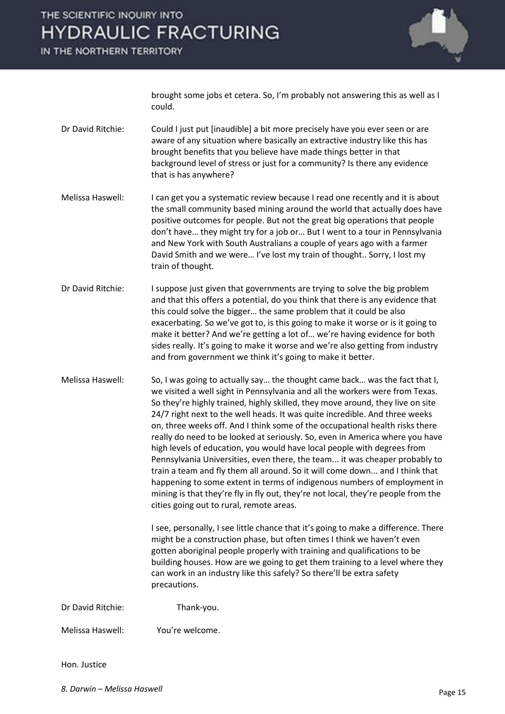IN THE NORTHERN TERRITORY



brought some jobs et cetera. So, I'm probably not answering this as well as I could.

- Dr David Ritchie: Could I just put [inaudible] a bit more precisely have you ever seen or are aware of any situation where basically an extractive industry like this has brought benefits that you believe have made things better in that background level of stress or just for a community? Is there any evidence that is has anywhere?
- Melissa Haswell: I can get you a systematic review because I read one recently and it is about the small community based mining around the world that actually does have positive outcomes for people. But not the great big operations that people don't have... they might try for a job or... But I went to a tour in Pennsylvania and New York with South Australians a couple of years ago with a farmer David Smith and we were... I've lost my train of thought.. Sorry, I lost my train of thought.
- Dr David Ritchie: I suppose just given that governments are trying to solve the big problem and that this offers a potential, do you think that there is any evidence that this could solve the bigger... the same problem that it could be also exacerbating. So we've got to, is this going to make it worse or is it going to make it better? And we're getting a lot of... we're having evidence for both sides really. It's going to make it worse and we're also getting from industry and from government we think it's going to make it better.
- Melissa Haswell: So, I was going to actually say... the thought came back... was the fact that I, we visited a well sight in Pennsylvania and all the workers were from Texas. So they're highly trained, highly skilled, they move around, they live on site 24/7 right next to the well heads. It was quite incredible. And three weeks on, three weeks off. And I think some of the occupational health risks there really do need to be looked at seriously. So, even in America where you have high levels of education, you would have local people with degrees from Pennsylvania Universities, even there, the team... it was cheaper probably to train a team and fly them all around. So it will come down... and I think that happening to some extent in terms of indigenous numbers of employment in mining is that they're fly in fly out, they're not local, they're people from the cities going out to rural, remote areas.

I see, personally, I see little chance that it's going to make a difference. There might be a construction phase, but often times I think we haven't even gotten aboriginal people properly with training and qualifications to be building houses. How are we going to get them training to a level where they can work in an industry like this safely? So there'll be extra safety precautions.

Dr David Ritchie: Thank-you.

Melissa Haswell: You're welcome.

#### Hon. Justice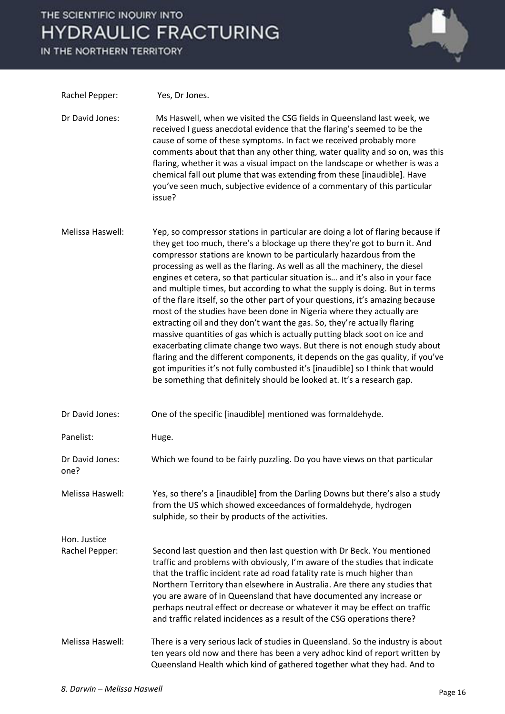IN THE NORTHERN TERRITORY



| Rachel Pepper:                 | Yes, Dr Jones.                                                                                                                                                                                                                                                                                                                                                                                                                                                                                                                                                                                                                                                                                                                                                                                                                                                                                                                                                                                                                                                                                                                     |
|--------------------------------|------------------------------------------------------------------------------------------------------------------------------------------------------------------------------------------------------------------------------------------------------------------------------------------------------------------------------------------------------------------------------------------------------------------------------------------------------------------------------------------------------------------------------------------------------------------------------------------------------------------------------------------------------------------------------------------------------------------------------------------------------------------------------------------------------------------------------------------------------------------------------------------------------------------------------------------------------------------------------------------------------------------------------------------------------------------------------------------------------------------------------------|
| Dr David Jones:                | Ms Haswell, when we visited the CSG fields in Queensland last week, we<br>received I guess anecdotal evidence that the flaring's seemed to be the<br>cause of some of these symptoms. In fact we received probably more<br>comments about that than any other thing, water quality and so on, was this<br>flaring, whether it was a visual impact on the landscape or whether is was a<br>chemical fall out plume that was extending from these [inaudible]. Have<br>you've seen much, subjective evidence of a commentary of this particular<br>issue?                                                                                                                                                                                                                                                                                                                                                                                                                                                                                                                                                                            |
| Melissa Haswell:               | Yep, so compressor stations in particular are doing a lot of flaring because if<br>they get too much, there's a blockage up there they're got to burn it. And<br>compressor stations are known to be particularly hazardous from the<br>processing as well as the flaring. As well as all the machinery, the diesel<br>engines et cetera, so that particular situation is and it's also in your face<br>and multiple times, but according to what the supply is doing. But in terms<br>of the flare itself, so the other part of your questions, it's amazing because<br>most of the studies have been done in Nigeria where they actually are<br>extracting oil and they don't want the gas. So, they're actually flaring<br>massive quantities of gas which is actually putting black soot on ice and<br>exacerbating climate change two ways. But there is not enough study about<br>flaring and the different components, it depends on the gas quality, if you've<br>got impurities it's not fully combusted it's [inaudible] so I think that would<br>be something that definitely should be looked at. It's a research gap. |
| Dr David Jones:                | One of the specific [inaudible] mentioned was formaldehyde.                                                                                                                                                                                                                                                                                                                                                                                                                                                                                                                                                                                                                                                                                                                                                                                                                                                                                                                                                                                                                                                                        |
| Panelist:                      | Huge.                                                                                                                                                                                                                                                                                                                                                                                                                                                                                                                                                                                                                                                                                                                                                                                                                                                                                                                                                                                                                                                                                                                              |
| Dr David Jones:<br>one?        | Which we found to be fairly puzzling. Do you have views on that particular                                                                                                                                                                                                                                                                                                                                                                                                                                                                                                                                                                                                                                                                                                                                                                                                                                                                                                                                                                                                                                                         |
| Melissa Haswell:               | Yes, so there's a [inaudible] from the Darling Downs but there's also a study<br>from the US which showed exceedances of formaldehyde, hydrogen<br>sulphide, so their by products of the activities.                                                                                                                                                                                                                                                                                                                                                                                                                                                                                                                                                                                                                                                                                                                                                                                                                                                                                                                               |
| Hon. Justice<br>Rachel Pepper: | Second last question and then last question with Dr Beck. You mentioned<br>traffic and problems with obviously, I'm aware of the studies that indicate<br>that the traffic incident rate ad road fatality rate is much higher than<br>Northern Territory than elsewhere in Australia. Are there any studies that<br>you are aware of in Queensland that have documented any increase or<br>perhaps neutral effect or decrease or whatever it may be effect on traffic<br>and traffic related incidences as a result of the CSG operations there?                                                                                                                                                                                                                                                                                                                                                                                                                                                                                                                                                                                   |
| Melissa Haswell:               | There is a very serious lack of studies in Queensland. So the industry is about<br>ten years old now and there has been a very adhoc kind of report written by<br>Queensland Health which kind of gathered together what they had. And to                                                                                                                                                                                                                                                                                                                                                                                                                                                                                                                                                                                                                                                                                                                                                                                                                                                                                          |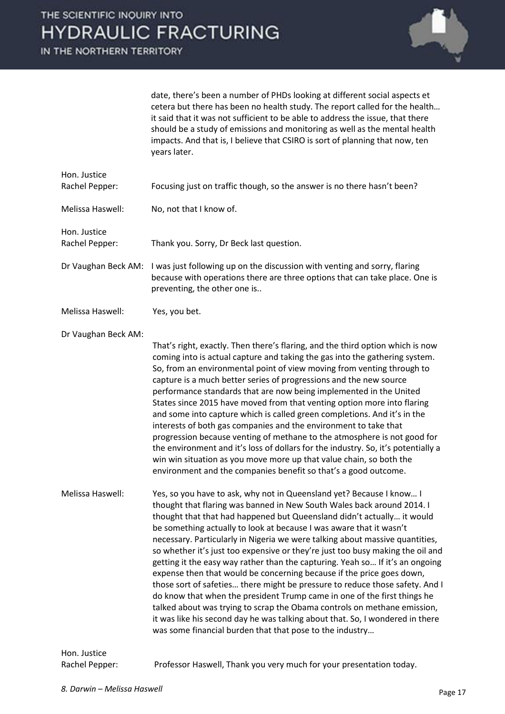

date, there's been a number of PHDs looking at different social aspects et cetera but there has been no health study. The report called for the health... it said that it was not sufficient to be able to address the issue, that there should be a study of emissions and monitoring as well as the mental health impacts. And that is, I believe that CSIRO is sort of planning that now, ten years later.

| Hon. Justice<br>Rachel Pepper: | Focusing just on traffic though, so the answer is no there hasn't been?                                                                                                                                                                                                                                                                                                                                                                                                                                                                                                                                                                                                                                                                                                                                                                                                                                                                                                                                          |
|--------------------------------|------------------------------------------------------------------------------------------------------------------------------------------------------------------------------------------------------------------------------------------------------------------------------------------------------------------------------------------------------------------------------------------------------------------------------------------------------------------------------------------------------------------------------------------------------------------------------------------------------------------------------------------------------------------------------------------------------------------------------------------------------------------------------------------------------------------------------------------------------------------------------------------------------------------------------------------------------------------------------------------------------------------|
| Melissa Haswell:               | No, not that I know of.                                                                                                                                                                                                                                                                                                                                                                                                                                                                                                                                                                                                                                                                                                                                                                                                                                                                                                                                                                                          |
| Hon. Justice<br>Rachel Pepper: | Thank you. Sorry, Dr Beck last question.                                                                                                                                                                                                                                                                                                                                                                                                                                                                                                                                                                                                                                                                                                                                                                                                                                                                                                                                                                         |
| Dr Vaughan Beck AM:            | I was just following up on the discussion with venting and sorry, flaring<br>because with operations there are three options that can take place. One is<br>preventing, the other one is                                                                                                                                                                                                                                                                                                                                                                                                                                                                                                                                                                                                                                                                                                                                                                                                                         |
| Melissa Haswell:               | Yes, you bet.                                                                                                                                                                                                                                                                                                                                                                                                                                                                                                                                                                                                                                                                                                                                                                                                                                                                                                                                                                                                    |
| Dr Vaughan Beck AM:            | That's right, exactly. Then there's flaring, and the third option which is now<br>coming into is actual capture and taking the gas into the gathering system.<br>So, from an environmental point of view moving from venting through to<br>capture is a much better series of progressions and the new source<br>performance standards that are now being implemented in the United<br>States since 2015 have moved from that venting option more into flaring<br>and some into capture which is called green completions. And it's in the<br>interests of both gas companies and the environment to take that<br>progression because venting of methane to the atmosphere is not good for<br>the environment and it's loss of dollars for the industry. So, it's potentially a<br>win win situation as you move more up that value chain, so both the<br>environment and the companies benefit so that's a good outcome.                                                                                        |
| Melissa Haswell:               | Yes, so you have to ask, why not in Queensland yet? Because I know I<br>thought that flaring was banned in New South Wales back around 2014. I<br>thought that that had happened but Queensland didn't actually it would<br>be something actually to look at because I was aware that it wasn't<br>necessary. Particularly in Nigeria we were talking about massive quantities,<br>so whether it's just too expensive or they're just too busy making the oil and<br>getting it the easy way rather than the capturing. Yeah so If it's an ongoing<br>expense then that would be concerning because if the price goes down,<br>those sort of safeties there might be pressure to reduce those safety. And I<br>do know that when the president Trump came in one of the first things he<br>talked about was trying to scrap the Obama controls on methane emission,<br>it was like his second day he was talking about that. So, I wondered in there<br>was some financial burden that that pose to the industry |
| Hon. Justice                   |                                                                                                                                                                                                                                                                                                                                                                                                                                                                                                                                                                                                                                                                                                                                                                                                                                                                                                                                                                                                                  |

Rachel Pepper: Professor Haswell, Thank you very much for your presentation today.